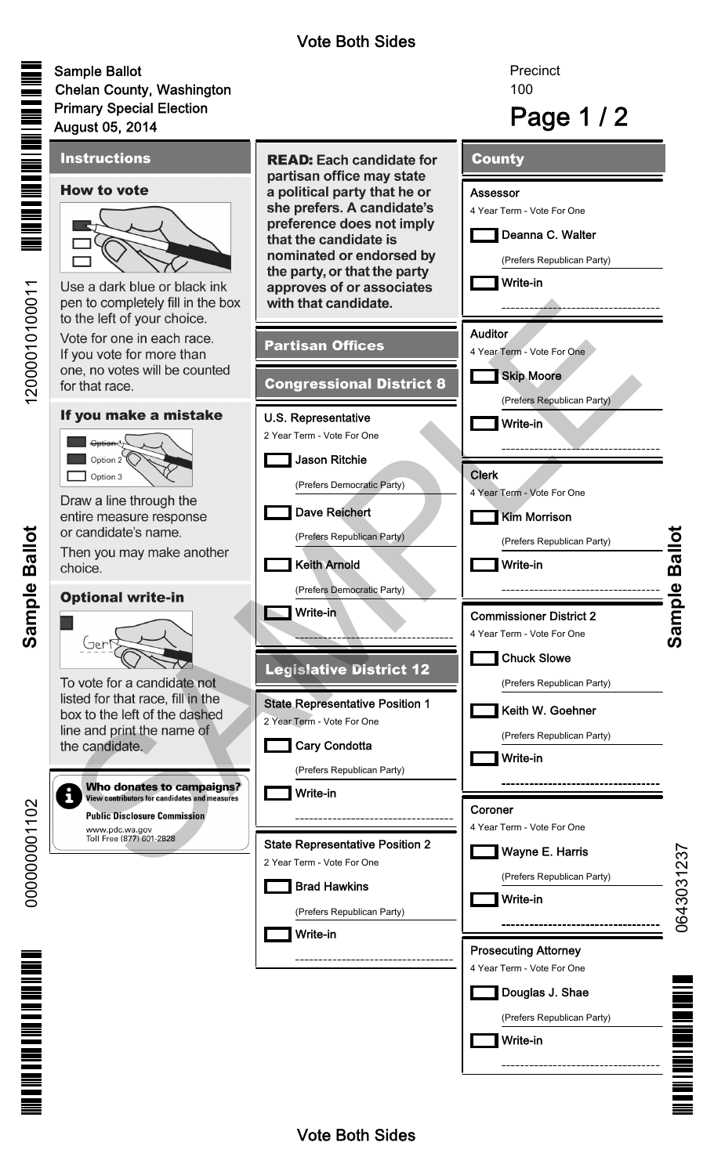## Vote Both Sides

100

**Precinct** 

# Sample Ballot Chelan County, Washington Primary Special Election

**Sample Ballot**

Sample Ballot

000000001102

0000000001102

<u>THE THE FIRE THE PIRE</u>

12000010100011

12000010100011